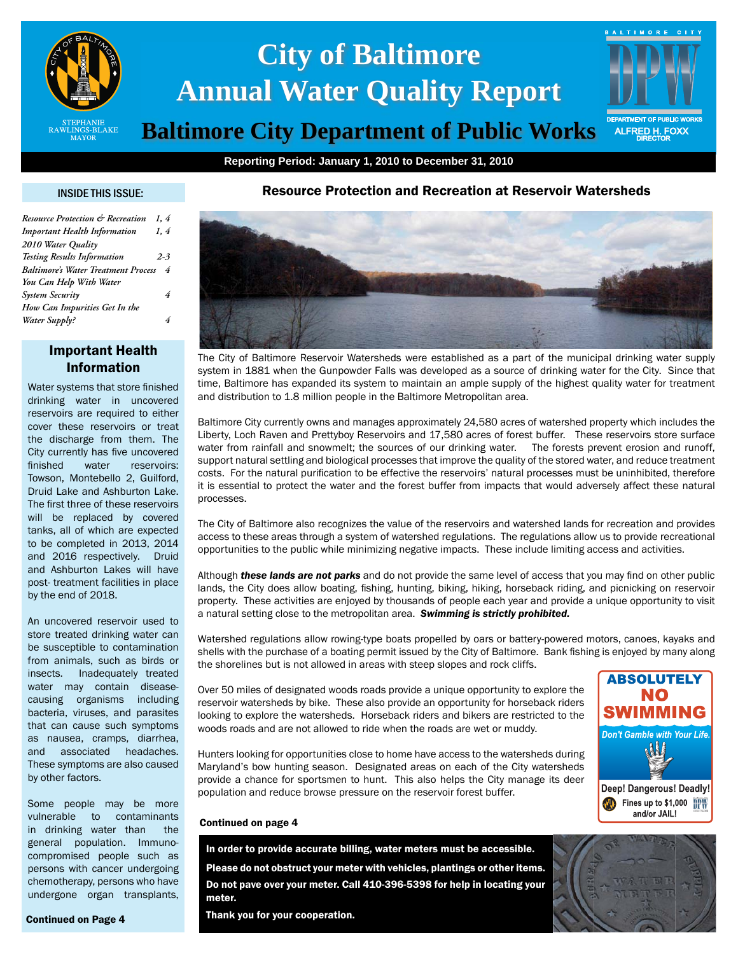

# **City of Baltimore Annual Water Quality Report**

# **Baltimore City Department of Public Works**

**Reporting Period: January 1, 2010 to December 31, 2010**

## INSIDE THIS ISSUE:

| Resource Protection & Recreation           | 1.4     |
|--------------------------------------------|---------|
| <b>Important Health Information</b>        | 1, 4    |
| 2010 Water Quality                         |         |
| <b>Testing Results Information</b>         | $2 - 3$ |
| <b>Baltimore's Water Treatment Process</b> | 4       |
| You Can Help With Water                    |         |
| <b>System Security</b>                     | 4       |
| How Can Impurities Get In the              |         |
| Water Supply?                              |         |

# Important Health Information

Water systems that store finished drinking water in uncovered reservoirs are required to either cover these reservoirs or treat the discharge from them. The City currently has five uncovered finished water reservoirs: Towson, Montebello 2, Guilford, Druid Lake and Ashburton Lake. The first three of these reservoirs will be replaced by covered tanks, all of which are expected to be completed in 2013, 2014 and 2016 respectively. Druid and Ashburton Lakes will have post- treatment facilities in place by the end of 2018.

An uncovered reservoir used to store treated drinking water can be susceptible to contamination from animals, such as birds or insects. Inadequately treated water may contain diseasecausing organisms including bacteria, viruses, and parasites that can cause such symptoms as nausea, cramps, diarrhea, and associated headaches. These symptoms are also caused by other factors.

Some people may be more vulnerable to contaminants in drinking water than the general population. Immunocompromised people such as persons with cancer undergoing chemotherapy, persons who have undergone organ transplants,

Continued on Page 4

Resource Protection and Recreation at Reservoir Watersheds



The City of Baltimore Reservoir Watersheds were established as a part of the municipal drinking water supply system in 1881 when the Gunpowder Falls was developed as a source of drinking water for the City. Since that time, Baltimore has expanded its system to maintain an ample supply of the highest quality water for treatment and distribution to 1.8 million people in the Baltimore Metropolitan area.

Baltimore City currently owns and manages approximately 24,580 acres of watershed property which includes the Liberty, Loch Raven and Prettyboy Reservoirs and 17,580 acres of forest buffer. These reservoirs store surface water from rainfall and snowmelt; the sources of our drinking water. The forests prevent erosion and runoff, support natural settling and biological processes that improve the quality of the stored water, and reduce treatment costs. For the natural purification to be effective the reservoirs' natural processes must be uninhibited, therefore it is essential to protect the water and the forest buffer from impacts that would adversely affect these natural processes.

The City of Baltimore also recognizes the value of the reservoirs and watershed lands for recreation and provides access to these areas through a system of watershed regulations. The regulations allow us to provide recreational opportunities to the public while minimizing negative impacts. These include limiting access and activities.

Although *these lands are not parks* and do not provide the same level of access that you may find on other public lands, the City does allow boating, fishing, hunting, biking, hiking, horseback riding, and picnicking on reservoir property. These activities are enjoyed by thousands of people each year and provide a unique opportunity to visit a natural setting close to the metropolitan area. *Swimming is strictly prohibited.*

Watershed regulations allow rowing-type boats propelled by oars or battery-powered motors, canoes, kayaks and shells with the purchase of a boating permit issued by the City of Baltimore. Bank fishing is enjoyed by many along the shorelines but is not allowed in areas with steep slopes and rock cliffs.

Over 50 miles of designated woods roads provide a unique opportunity to explore the reservoir watersheds by bike. These also provide an opportunity for horseback riders looking to explore the watersheds. Horseback riders and bikers are restricted to the woods roads and are not allowed to ride when the roads are wet or muddy.

Hunters looking for opportunities close to home have access to the watersheds during Maryland's bow hunting season. Designated areas on each of the City watersheds provide a chance for sportsmen to hunt. This also helps the City manage its deer population and reduce browse pressure on the reservoir forest buffer.



ALFRED H. FOXX

BALTIMORE CITY

# Continued on page 4

In order to provide accurate billing, water meters must be accessible.

Please do not obstruct your meter with vehicles, plantings or other items. Do not pave over your meter. Call 410-396-5398 for help in locating your meter.

Thank you for your cooperation.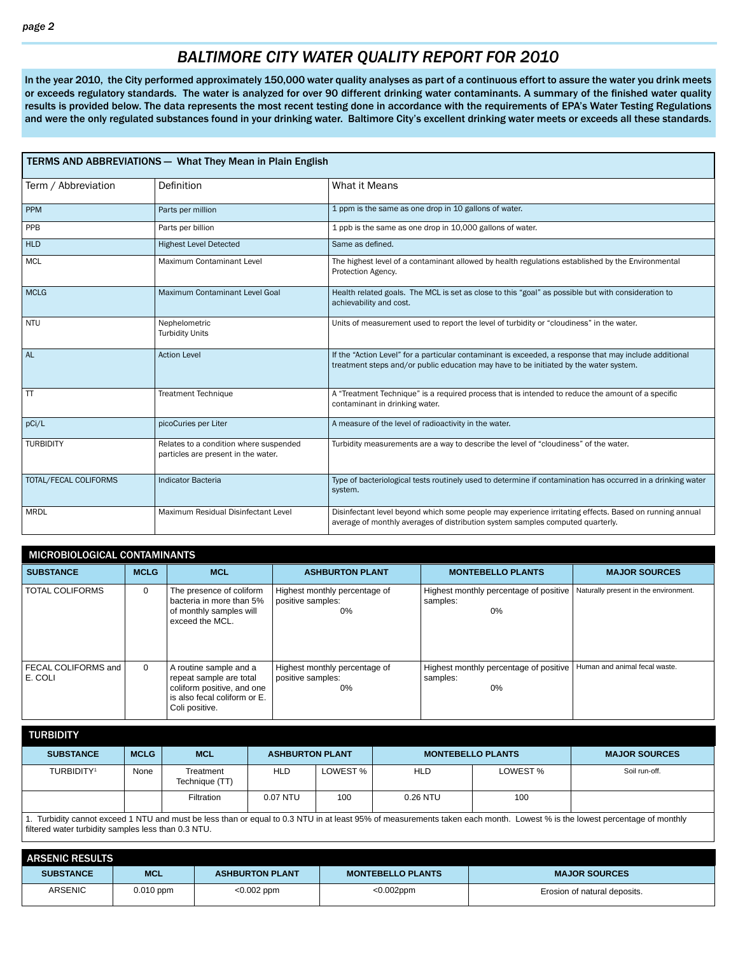# *BALTIMORE CITY WATER QUALITY REPORT FOR 2010*

In the year 2010, the City performed approximately 150,000 water quality analyses as part of a continuous effort to assure the water you drink meets or exceeds regulatory standards. The water is analyzed for over 90 different drinking water contaminants. A summary of the finished water quality results is provided below. The data represents the most recent testing done in accordance with the requirements of EPA's Water Testing Regulations and were the only regulated substances found in your drinking water. Baltimore City's excellent drinking water meets or exceeds all these standards.

| <b>TERMS AND ABBREVIATIONS - What They Mean in Plain English</b> |                                                                               |                                                                                                                                                                                                 |  |  |  |  |  |  |
|------------------------------------------------------------------|-------------------------------------------------------------------------------|-------------------------------------------------------------------------------------------------------------------------------------------------------------------------------------------------|--|--|--|--|--|--|
| Term / Abbreviation                                              | Definition                                                                    | What it Means                                                                                                                                                                                   |  |  |  |  |  |  |
| <b>PPM</b>                                                       | Parts per million                                                             | 1 ppm is the same as one drop in 10 gallons of water.                                                                                                                                           |  |  |  |  |  |  |
| PPB                                                              | Parts per billion                                                             | 1 ppb is the same as one drop in 10,000 gallons of water.                                                                                                                                       |  |  |  |  |  |  |
| <b>HLD</b>                                                       | <b>Highest Level Detected</b>                                                 | Same as defined.                                                                                                                                                                                |  |  |  |  |  |  |
| <b>MCL</b>                                                       | Maximum Contaminant Level                                                     | The highest level of a contaminant allowed by health regulations established by the Environmental<br>Protection Agency.                                                                         |  |  |  |  |  |  |
| <b>MCLG</b>                                                      | Maximum Contaminant Level Goal                                                | Health related goals. The MCL is set as close to this "goal" as possible but with consideration to<br>achievability and cost.                                                                   |  |  |  |  |  |  |
| <b>NTU</b>                                                       | Nephelometric<br><b>Turbidity Units</b>                                       | Units of measurement used to report the level of turbidity or "cloudiness" in the water.                                                                                                        |  |  |  |  |  |  |
| <b>AL</b>                                                        | <b>Action Level</b>                                                           | If the "Action Level" for a particular contaminant is exceeded, a response that may include additional<br>treatment steps and/or public education may have to be initiated by the water system. |  |  |  |  |  |  |
| <b>TT</b>                                                        | <b>Treatment Technique</b>                                                    | A "Treatment Technique" is a required process that is intended to reduce the amount of a specific<br>contaminant in drinking water.                                                             |  |  |  |  |  |  |
| pCi/L                                                            | picoCuries per Liter                                                          | A measure of the level of radioactivity in the water.                                                                                                                                           |  |  |  |  |  |  |
| <b>TURBIDITY</b>                                                 | Relates to a condition where suspended<br>particles are present in the water. | Turbidity measurements are a way to describe the level of "cloudiness" of the water.                                                                                                            |  |  |  |  |  |  |
| TOTAL/FECAL COLIFORMS                                            | <b>Indicator Bacteria</b>                                                     | Type of bacteriological tests routinely used to determine if contamination has occurred in a drinking water<br>system.                                                                          |  |  |  |  |  |  |
| <b>MRDL</b>                                                      | Maximum Residual Disinfectant Level                                           | Disinfectant level beyond which some people may experience irritating effects. Based on running annual<br>average of monthly averages of distribution system samples computed quarterly.        |  |  |  |  |  |  |

| <b>MICROBIOLOGICAL CONTAMINANTS</b> |             |                                                                                                                                   |                                                          |                                                          |                                       |  |  |  |  |  |  |
|-------------------------------------|-------------|-----------------------------------------------------------------------------------------------------------------------------------|----------------------------------------------------------|----------------------------------------------------------|---------------------------------------|--|--|--|--|--|--|
| <b>SUBSTANCE</b>                    | <b>MCLG</b> | <b>MCL</b>                                                                                                                        | <b>ASHBURTON PLANT</b>                                   | <b>MONTEBELLO PLANTS</b>                                 | <b>MAJOR SOURCES</b>                  |  |  |  |  |  |  |
| <b>TOTAL COLIFORMS</b>              | 0           | The presence of coliform<br>bacteria in more than 5%<br>of monthly samples will<br>exceed the MCL.                                | Highest monthly percentage of<br>positive samples:<br>0% | Highest monthly percentage of positive<br>samples:<br>0% | Naturally present in the environment. |  |  |  |  |  |  |
| FECAL COLIFORMS and<br>I E. COLI    | $\Omega$    | A routine sample and a<br>repeat sample are total<br>coliform positive, and one<br>is also fecal coliform or E.<br>Coli positive. | Highest monthly percentage of<br>positive samples:<br>0% | Highest monthly percentage of positive<br>samples:<br>0% | Human and animal fecal waste.         |  |  |  |  |  |  |

| <b>TURBIDITY</b>                                                                                                                                                         |             |                             |            |                                                    |            |          |                      |  |
|--------------------------------------------------------------------------------------------------------------------------------------------------------------------------|-------------|-----------------------------|------------|----------------------------------------------------|------------|----------|----------------------|--|
| <b>SUBSTANCE</b>                                                                                                                                                         | <b>MCLG</b> | <b>MCL</b>                  |            | <b>ASHBURTON PLANT</b><br><b>MONTEBELLO PLANTS</b> |            |          | <b>MAJOR SOURCES</b> |  |
| TURBIDITY <sup>1</sup>                                                                                                                                                   | None        | Treatment<br>Technique (TT) | HLD        | LOWEST % I                                         | <b>HLD</b> | LOWEST % | Soil run-off.        |  |
|                                                                                                                                                                          |             | Filtration                  | $0.07$ NTU | 100                                                | $0.26$ NTU | 100      |                      |  |
| Turbidity cannot exceed 1 NTI Land must be less than or equal to 0.3 NTI Lin at least 95% of measurements taken each month I owest % is the lowest percentage of monthly |             |                             |            |                                                    |            |          |                      |  |

1. Turbidity cannot exceed 1 NTU and must be less than or equal to 0.3 NTU in at least 95% of measurements taken each month. Lowest % is the lowest percentage of monthly filtered water turbidity samples less than 0.3 NTU.

| <b>ARSENIC RESULTS</b> |             |                        |                          |                              |
|------------------------|-------------|------------------------|--------------------------|------------------------------|
| <b>SUBSTANCE</b>       | <b>MCL</b>  | <b>ASHBURTON PLANT</b> | <b>MONTEBELLO PLANTS</b> | <b>MAJOR SOURCES</b>         |
| ARSENIC                | $0.010$ ppm | $< 0.002$ ppm          | $<0.002$ ppm             | Erosion of natural deposits. |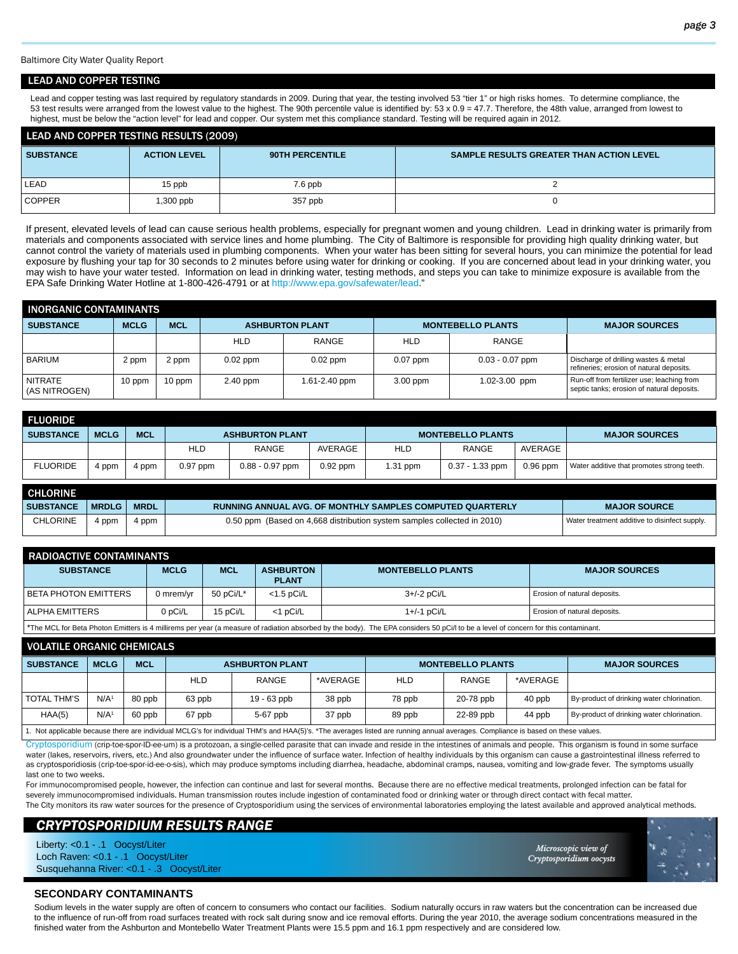Baltimore City Water Quality Report

#### LEAD AND COPPER TESTING

Lead and copper testing was last required by regulatory standards in 2009. During that year, the testing involved 53 "tier 1" or high risks homes. To determine compliance, the 53 test results were arranged from the lowest value to the highest. The 90th percentile value is identified by: 53 x 0.9 = 47.7. Therefore, the 48th value, arranged from lowest to highest, must be below the "action level" for lead and copper. Our system met this compliance standard. Testing will be required again in 2012.

| <b>LEAD AND COPPER TESTING RESULTS (2009)</b> |                     |                 |                                                 |  |  |  |  |  |
|-----------------------------------------------|---------------------|-----------------|-------------------------------------------------|--|--|--|--|--|
| <b>SUBSTANCE</b>                              | <b>ACTION LEVEL</b> | 90TH PERCENTILE | <b>SAMPLE RESULTS GREATER THAN ACTION LEVEL</b> |  |  |  |  |  |
|                                               |                     |                 |                                                 |  |  |  |  |  |
| LEAD                                          | 15 ppb              | 7.6 ppb         |                                                 |  |  |  |  |  |
| <b>COPPER</b>                                 | $.300$ ppb          | 357 ppb         |                                                 |  |  |  |  |  |

If present, elevated levels of lead can cause serious health problems, especially for pregnant women and young children. Lead in drinking water is primarily from materials and components associated with service lines and home plumbing. The City of Baltimore is responsible for providing high quality drinking water, but cannot control the variety of materials used in plumbing components. When your water has been sitting for several hours, you can minimize the potential for lead exposure by flushing your tap for 30 seconds to 2 minutes before using water for drinking or cooking. If you are concerned about lead in your drinking water, you may wish to have your water tested. Information on lead in drinking water, testing methods, and steps you can take to minimize exposure is available from the EPA Safe Drinking Water Hotline at 1-800-426-4791 or at http://www.epa.gov/safewater/lead."

| <b>INORGANIC CONTAMINANTS</b>   |             |            |            |                        |            |                          |                                                                                          |  |  |  |  |
|---------------------------------|-------------|------------|------------|------------------------|------------|--------------------------|------------------------------------------------------------------------------------------|--|--|--|--|
| <b>SUBSTANCE</b>                | <b>MCLG</b> | <b>MCL</b> |            | <b>ASHBURTON PLANT</b> |            | <b>MONTEBELLO PLANTS</b> | <b>MAJOR SOURCES</b>                                                                     |  |  |  |  |
|                                 |             |            | <b>HLD</b> | RANGE                  | HLD        | RANGE                    |                                                                                          |  |  |  |  |
| <b>BARIUM</b>                   | 2 ppm       | 2 ppm      | $0.02$ ppm | $0.02$ ppm             | $0.07$ ppm | $0.03 - 0.07$ ppm        | Discharge of drilling wastes & metal<br>refineries; erosion of natural deposits.         |  |  |  |  |
| <b>NITRATE</b><br>(AS NITROGEN) | 10 ppm      | $10$ ppm   | 2.40 ppm   | 1.61-2.40 ppm          | $3.00$ ppm | 1.02-3.00 ppm            | Run-off from fertilizer use; leaching from<br>septic tanks; erosion of natural deposits. |  |  |  |  |

| <b>FLUORIDE</b>  |             |            |            |                        |            |                          |                   |            |                                            |
|------------------|-------------|------------|------------|------------------------|------------|--------------------------|-------------------|------------|--------------------------------------------|
| <b>SUBSTANCE</b> | <b>MCLG</b> | <b>MCL</b> |            | <b>ASHBURTON PLANT</b> |            | <b>MONTEBELLO PLANTS</b> |                   |            | <b>MAJOR SOURCES</b>                       |
|                  |             |            | <b>HLD</b> | RANGE                  | AVERAGE    | <b>HLD</b>               | RANGE             | AVERAGE    |                                            |
| <b>FLUORIDE</b>  | 4 ppm       | 4 ppm      | $0.97$ ppm | $0.88 - 0.97$ ppm      | $0.92$ ppm | $1.31$ ppm               | $0.37 - 1.33$ ppm | $0.96$ ppm | Water additive that promotes strong teeth. |
| _______          |             |            |            |                        |            |                          |                   |            |                                            |

| <b>CHLORINE</b>  |              |             |                                                                         |                                               |
|------------------|--------------|-------------|-------------------------------------------------------------------------|-----------------------------------------------|
| <b>SUBSTANCE</b> | <b>MRDLG</b> | <b>MRDL</b> | <b>RUNNING ANNUAL AVG. OF MONTHLY SAMPLES COMPUTED QUARTERLY</b>        | <b>MAJOR SOURCE</b>                           |
| <b>CHLORINE</b>  | 4 ppm        | 4 ppm       | 0.50 ppm (Based on 4,668 distribution system samples collected in 2010) | Water treatment additive to disinfect supply. |

| RADIOACTIVE CONTAMINANTS                                                                                                                                                                          |             |              |                                  |                          |                              |  |  |  |  |  |
|---------------------------------------------------------------------------------------------------------------------------------------------------------------------------------------------------|-------------|--------------|----------------------------------|--------------------------|------------------------------|--|--|--|--|--|
| <b>SUBSTANCE</b>                                                                                                                                                                                  | <b>MCLG</b> | <b>MCL</b>   | <b>ASHBURTON</b><br><b>PLANT</b> | <b>MONTEBELLO PLANTS</b> | <b>MAJOR SOURCES</b>         |  |  |  |  |  |
| I BETA PHOTON EMITTERS                                                                                                                                                                            | J mrem/yr   | 50 $pCi/L^*$ | $<$ 1.5 pCi/L                    | 3+/-2 pCi/L              | Erosion of natural deposits. |  |  |  |  |  |
| I ALPHA EMITTERS                                                                                                                                                                                  | 0 pCi/L     | 15 pCi/L     | $<$ 1 pCi/L                      | $1+/-1$ pCi/L            | Erosion of natural deposits. |  |  |  |  |  |
| $\frac{1}{2}$ . The MCL for Pote Photon Emitters is 4 milliroms nor year (a measure of rediction absorbed by the body). The EDA considers EQ nCill to be a lovel of conserve for this conteminant |             |              |                                  |                          |                              |  |  |  |  |  |

\*The MCL for Beta Photon Emitters is 4 millirems per year (a measure of radiation absorbed by the body). The EPA considers 50 pCi/l to be a level of concern for this contaminant.

| <b>VOLATILE ORGANIC CHEMICALS</b>                                                                                                                                               |             |            |            |                        |          |            |                          |                      |                                            |  |
|---------------------------------------------------------------------------------------------------------------------------------------------------------------------------------|-------------|------------|------------|------------------------|----------|------------|--------------------------|----------------------|--------------------------------------------|--|
| <b>SUBSTANCE</b>                                                                                                                                                                | <b>MCLG</b> | <b>MCL</b> |            | <b>ASHBURTON PLANT</b> |          |            | <b>MONTEBELLO PLANTS</b> | <b>MAJOR SOURCES</b> |                                            |  |
|                                                                                                                                                                                 |             |            | <b>HLD</b> | RANGE                  | *AVERAGE | <b>HLD</b> | RANGE                    | *AVERAGE             |                                            |  |
| TOTAL THM'S                                                                                                                                                                     | N/A         | 80 ppb     | 63 ppb     | $19 - 63$ ppb          | 38 ppb   | 78 ppb     | 20-78 ppb                | 40 ppb               | By-product of drinking water chlorination. |  |
| HAA(5)                                                                                                                                                                          | N/A         | 60 ppb     | 67 ppb     | 5-67 ppb               | 37 ppb   | 89 ppb     | 22-89 ppb                | 44 ppb               | By-product of drinking water chlorination. |  |
| 1. Not applicable because there are individual MCLG's for individual THM's and HAA(5)'s. *The averages listed are running annual averages. Compliance is based on these values. |             |            |            |                        |          |            |                          |                      |                                            |  |

Cryptosporidium (crip-toe-spor-ID-ee-um) is a protozoan, a single-celled parasite that can invade and reside in the intestines of animals and people. This organism is found in some surface

water (lakes, reservoirs, rivers, etc.) And also groundwater under the influence of surface water. Infection of healthy individuals by this organism can cause a gastrointestinal illness referred to as cryptosporidiosis (crip-toe-spor-id-ee-o-sis), which may produce symptoms including diarrhea, headache, abdominal cramps, nausea, vomiting and low-grade fever. The symptoms usually last one to two weeks.

For immunocompromised people, however, the infection can continue and last for several months. Because there are no effective medical treatments, prolonged infection can be fatal for severely immunocompromised individuals. Human transmission routes include ingestion of contaminated food or drinking water or through direct contact with fecal matter. The City monitors its raw water sources for the presence of Cryptosporidium using the services of environmental laboratories employing the latest available and approved analytical methods.

# *CRYPTOSPORIDIUM RESULTS RANGE*

Liberty: <0.1 - .1 Oocyst/Liter Loch Raven: <0.1 - .1 Oocyst/Liter Susquehanna River: <0.1 - .3 Oocyst/Liter

*Microscopic view of icroscopic Cryptosporidium oocysts ryptosporidium* 



# **SECONDARY CONTAMINANTS**

Sodium levels in the water supply are often of concern to consumers who contact our facilities. Sodium naturally occurs in raw waters but the concentration can be increased due to the influence of run-off from road surfaces treated with rock salt during snow and ice removal efforts. During the year 2010, the average sodium concentrations measured in the finished water from the Ashburton and Montebello Water Treatment Plants were 15.5 ppm and 16.1 ppm respectively and are considered low.